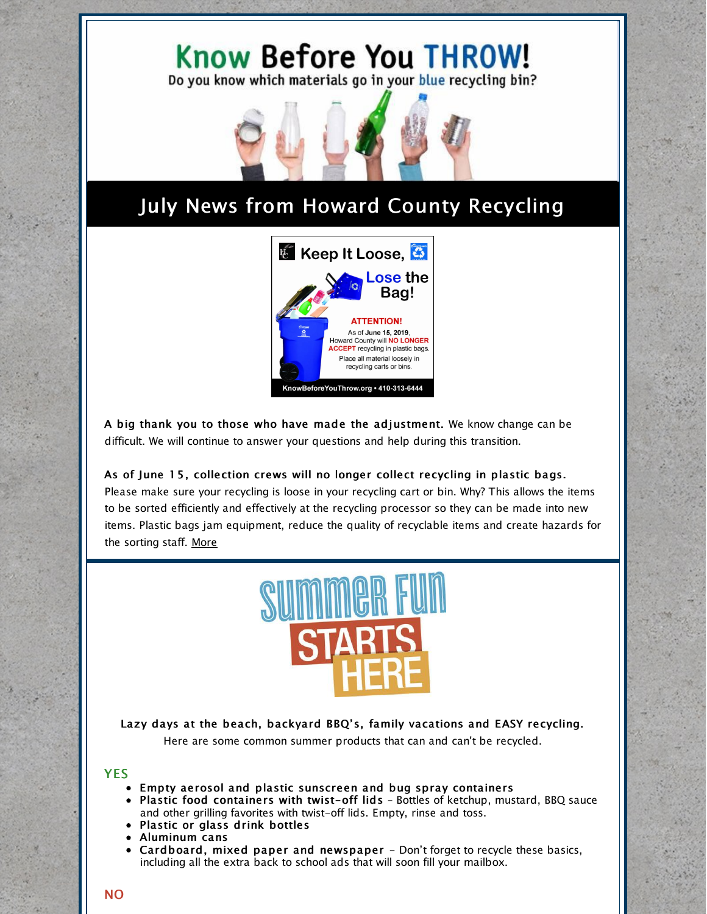

# July News from Howard County Recycling



A big thank you to those who have made the adjustment. We know change can be difficult. We will continue to answer your questions and help during this transition.

As of June 15, collection crews will no longer collect recycling in plastic bags. Please make sure your recycling is loose in your recycling cart or bin. Why? This allows the items to be sorted efficiently and effectively at the recycling processor so they can be made into new items. Plastic bags jam equipment, reduce the quality of recyclable items and create hazards for the sorting staff. [More](https://www.howardcountymd.gov/Departments/Public-Works/Bureau-Of-Environmental-Services/Recycling)



Lazy days at the beach, backyard BBQ's, family vacations and EASY recycling. Here are some common summer products that can and can't be recycled.

### YES

- Empty aerosol and plastic sunscreen and bug spray containers
- Plastic food containers with twist-off lids Bottles of ketchup, mustard, BBQ sauce and other grilling favorites with twist-off lids. Empty, rinse and toss.
- Plastic or glass drink bottles
- Aluminum cans
- Cardboard, mixed paper and newspaper Don't forget to recycle these basics, including all the extra back to school ads that will soon fill your mailbox.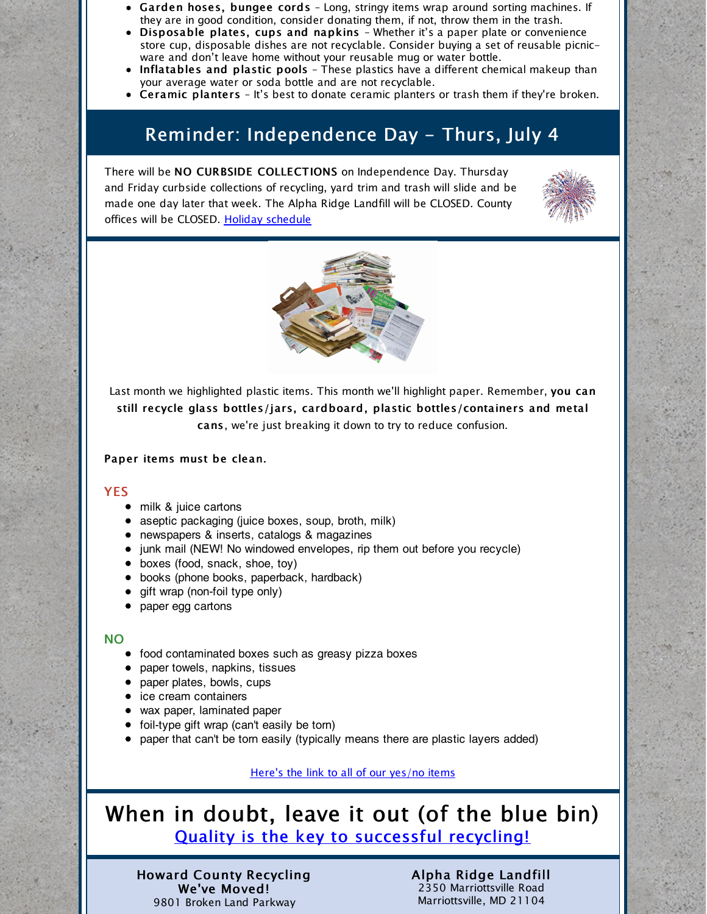- Garden hoses, bungee cords Long, stringy items wrap around sorting machines. If they are in good condition, consider donating them, if not, throw them in the trash.
- Disposable plates, cups and napkins Whether it's a paper plate or convenience store cup, disposable dishes are not recyclable. Consider buying a set of reusable picnicware and don't leave home without your reusable mug or water bottle.
- Inflatables and plastic pools These plastics have a different chemical makeup than your average water or soda bottle and are not recyclable.
- Ceramic planters It's best to donate ceramic planters or trash them if they're broken.

## Reminder: Independence Day - Thurs, July 4

There will be NO CURBSIDE COLLECTIONS on Independence Day. Thursday and Friday curbside collections of recycling, yard trim and trash will slide and be made one day later that week. The Alpha Ridge Landfill will be CLOSED. County offices will be CLOSED. Holiday [schedule](https://www.howardcountymd.gov/Departments/Public-Works/Bureau-Of-Environmental-Services/Curbside-Collections/Holiday-Schedule-for-Recycling-Trash)





Last month we highlighted plastic items. This month we'll highlight paper. Remember, you can still recycle glass bottles/jars, cardboard, plastic bottles/containers and metal cans, we're just breaking it down to try to reduce confusion.

#### Paper items must be clean.

#### YES

- milk & juice cartons
- aseptic packaging (juice boxes, soup, broth, milk)
- newspapers & inserts, catalogs & magazines
- junk mail (NEW! No windowed envelopes, rip them out before you recycle)
- boxes (food, snack, shoe, toy)
- books (phone books, paperback, hardback)
- $\bullet$  gift wrap (non-foil type only)
- paper egg cartons

#### NO

- food contaminated boxes such as greasy pizza boxes
- paper towels, napkins, tissues
- paper plates, bowls, cups
- ice cream containers
- wax paper, laminated paper
- foil-type gift wrap (can't easily be torn)
- paper that can't be torn easily (typically means there are plastic layers added)

[Here's](https://www.howardcountymd.gov/Departments/Public-Works/Bureau-Of-Environmental-Services/Recycling/Recycling-Collection-Details) the link to all of our yes/no items

## When in doubt, leave it out (of the blue bin) Quality is the key to [successful](http://knowbeforeyouthrow.org) recycling!

Howard County Recycling We've Moved! 9801 Broken Land Parkway

Alpha Ridge Landfill 2350 Marriottsville Road Marriottsville, MD 21104